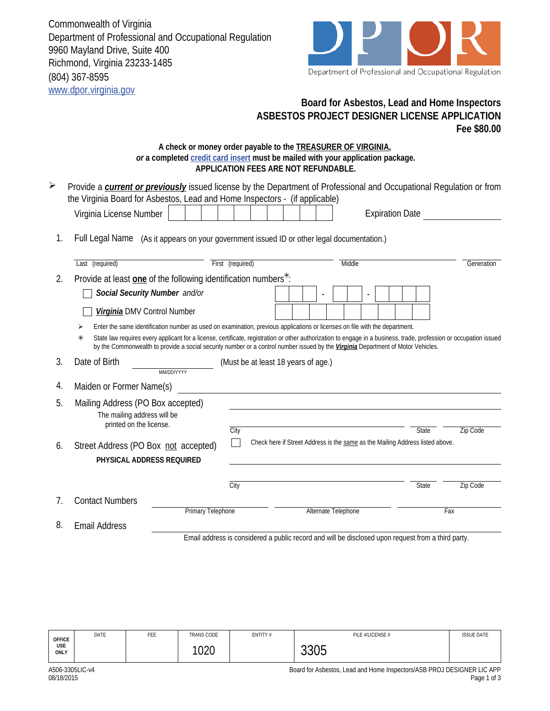Commonwealth of Virginia Department of Professional and Occupational Regulation 9960 Mayland Drive, Suite 400 Richmond, Virginia 23233-1485 (804) 367-8595 www.dpor.virginia.gov



## **Board for Asbestos, Lead and Home Inspectors ASBESTOS PROJECT DESIGNER LICENSE APPLICATION Fee \$80.00**

## **A check or money order payable to the TREASURER OF VIRGINIA,**  *or* **a completed credit card insert must be mailed with your application package. APPLICATION FEES ARE NOT REFUNDABLE.**

| $\blacktriangleright$ | Provide a <b>current or previously</b> issued license by the Department of Professional and Occupational Regulation or from<br>the Virginia Board for Asbestos, Lead and Home Inspectors - (if applicable)                                                                                                  |                  |                                                                               |                                                                                                    |              |            |  |
|-----------------------|-------------------------------------------------------------------------------------------------------------------------------------------------------------------------------------------------------------------------------------------------------------------------------------------------------------|------------------|-------------------------------------------------------------------------------|----------------------------------------------------------------------------------------------------|--------------|------------|--|
|                       | Virginia License Number                                                                                                                                                                                                                                                                                     |                  |                                                                               | <b>Expiration Date</b>                                                                             |              |            |  |
| 1.                    | Full Legal Name (As it appears on your government issued ID or other legal documentation.)                                                                                                                                                                                                                  |                  |                                                                               |                                                                                                    |              |            |  |
|                       | Last (required)                                                                                                                                                                                                                                                                                             | First (required) |                                                                               | Middle                                                                                             |              | Generation |  |
| 2.                    | Provide at least one of the following identification numbers <sup>*</sup> :                                                                                                                                                                                                                                 |                  |                                                                               |                                                                                                    |              |            |  |
|                       | Social Security Number and/or                                                                                                                                                                                                                                                                               |                  |                                                                               |                                                                                                    |              |            |  |
|                       | Virginia DMV Control Number                                                                                                                                                                                                                                                                                 |                  |                                                                               |                                                                                                    |              |            |  |
|                       | Enter the same identification number as used on examination, previous applications or licenses on file with the department.<br>⋗                                                                                                                                                                            |                  |                                                                               |                                                                                                    |              |            |  |
|                       | State law requires every applicant for a license, certificate, registration or other authorization to engage in a business, trade, profession or occupation issued<br>⋇<br>by the Commonwealth to provide a social security number or a control number issued by the Virginia Department of Motor Vehicles. |                  |                                                                               |                                                                                                    |              |            |  |
| 3.                    | Date of Birth<br>MM/DD/YYYY                                                                                                                                                                                                                                                                                 |                  | (Must be at least 18 years of age.)                                           |                                                                                                    |              |            |  |
| 4.                    | Maiden or Former Name(s)                                                                                                                                                                                                                                                                                    |                  |                                                                               |                                                                                                    |              |            |  |
| 5.                    | Mailing Address (PO Box accepted)<br>The mailing address will be<br>printed on the license.                                                                                                                                                                                                                 |                  |                                                                               |                                                                                                    |              |            |  |
| 6.                    | Street Address (PO Box not accepted)                                                                                                                                                                                                                                                                        | City             | Check here if Street Address is the same as the Mailing Address listed above. |                                                                                                    | <b>State</b> | Zip Code   |  |
|                       | PHYSICAL ADDRESS REQUIRED                                                                                                                                                                                                                                                                                   |                  |                                                                               |                                                                                                    |              |            |  |
|                       |                                                                                                                                                                                                                                                                                                             | City             |                                                                               |                                                                                                    | <b>State</b> | Zip Code   |  |
| 7.                    | <b>Contact Numbers</b>                                                                                                                                                                                                                                                                                      |                  |                                                                               |                                                                                                    |              |            |  |
|                       | <b>Primary Telephone</b>                                                                                                                                                                                                                                                                                    |                  |                                                                               | Alternate Telephone                                                                                |              | Fax        |  |
| 8.                    | <b>Email Address</b>                                                                                                                                                                                                                                                                                        |                  |                                                                               |                                                                                                    |              |            |  |
|                       |                                                                                                                                                                                                                                                                                                             |                  |                                                                               | Email address is considered a public record and will be disclosed upon request from a third party. |              |            |  |

| <b>OFFICE</b> | DATE | FEE | TRANS CODE  | ENTITY# | FILE #/LICENSE # | <b>ISSUE DATE</b> |
|---------------|------|-----|-------------|---------|------------------|-------------------|
| USE<br>ONLY   |      |     | 1000<br>∪∠∪ |         | 0.000<br>uuu     |                   |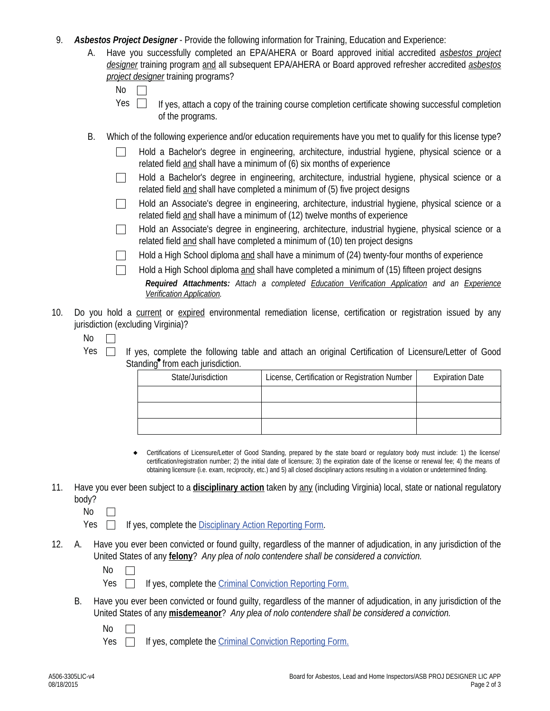- 9. *Asbestos Project Designer* Provide the following information for Training, Education and Experience:
	- Have you successfully completed an EPA/AHERA or Board approved initial accredited *asbestos project designer* training program and all subsequent EPA/AHERA or Board approved refresher accredited *asbestos project designer* training programs? A.

| ×<br>۰. |  |
|---------|--|
|         |  |

- If yes, attach a copy of the training course completion certificate showing successful completion of the programs. Yes  $\Box$
- B. Which of the following experience and/or education requirements have you met to qualify for this license type?
	- Hold a Bachelor's degree in engineering, architecture, industrial hygiene, physical science or a related field and shall have a minimum of (6) six months of experience
	- Hold a Bachelor's degree in engineering, architecture, industrial hygiene, physical science or a related field and shall have completed a minimum of (5) five project designs
	- Hold an Associate's degree in engineering, architecture, industrial hygiene, physical science or a  $\mathbb{R}^n$ related field and shall have a minimum of (12) twelve months of experience
	- Hold an Associate's degree in engineering, architecture, industrial hygiene, physical science or a  $\mathbf{L}$ related field and shall have completed a minimum of (10) ten project designs

Hold a High School diploma and shall have a minimum of (24) twenty-four months of experience

- *Required Attachments: Attach a completed Education Verification Application and an Experience Verification Application.* Hold a High School diploma and shall have completed a minimum of (15) fifteen project designs
- 10. Do you hold a current or expired environmental remediation license, certification or registration issued by any jurisdiction (excluding Virginia)?
	- No  $\mathbb{R}^n$
	- Yes  $\Box$  If yes, complete the following table and attach an original Certification of Licensure/Letter of Good Standing<sup>\*</sup> from each jurisdiction.

| State/Jurisdiction | License, Certification or Registration Number | <b>Expiration Date</b> |
|--------------------|-----------------------------------------------|------------------------|
|                    |                                               |                        |
|                    |                                               |                        |
|                    |                                               |                        |

- Certifications of Licensure/Letter of Good Standing, prepared by the state board or regulatory body must include: 1) the license/ certification/registration number; 2) the initial date of licensure; 3) the expiration date of the license or renewal fee; 4) the means of obtaining licensure (i.e. exam, reciprocity, etc.) and 5) all closed disciplinary actions resulting in a violation or undetermined finding.  $\bullet$
- 11. Have you ever been subject to a **disciplinary action** taken by any (including Virginia) local, state or national regulatory body?
	- No  $\Box$

 $Yes \Box$  If yes, complete the Disciplinary Action Reporting Form.

- Have you ever been convicted or found quilty, regardless of the manner of adjudication, in any jurisdiction of the United States of any **felony**? *Any plea of nolo contendere shall be considered a conviction.* 12.
	- No  $\mathbf{L}$
	- Yes  $\Box$ If yes, complete the Criminal Conviction Reporting Form.
	- B. Have you ever been convicted or found guilty, regardless of the manner of adjudication, in any jurisdiction of the United States of any **misdemeanor**? *Any plea of nolo contendere shall be considered a conviction.*
		- No  $\Box$

Yes  $\Box$ If yes, complete the Criminal Conviction Reporting Form.